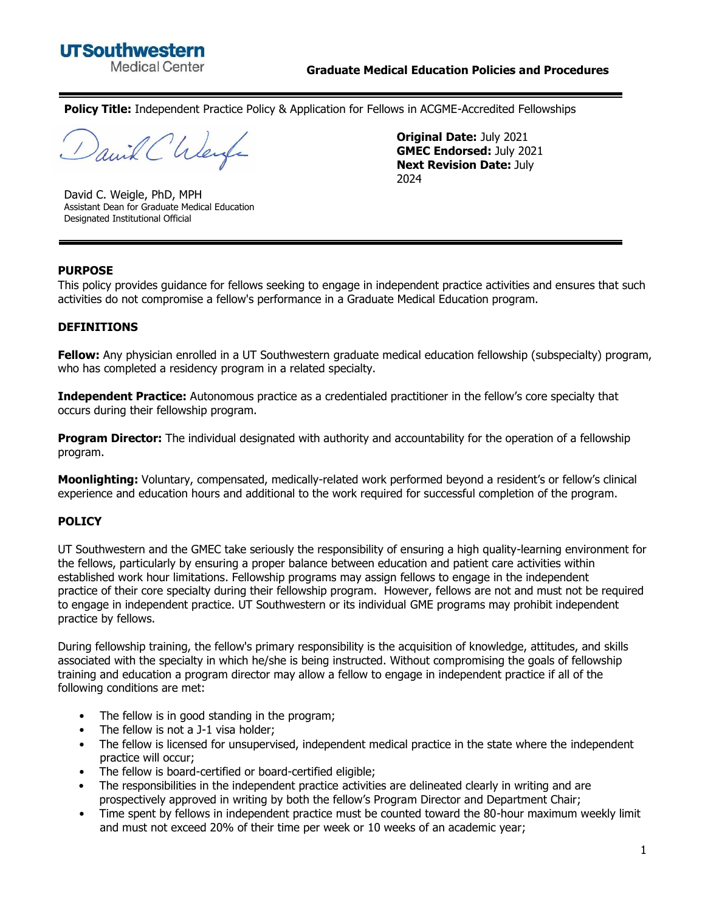

**Policy Title:** Independent Practice Policy & Application for Fellows in ACGME-Accredited Fellowships

anil Chleife

David C. Weigle, PhD, MPH Assistant Dean for Graduate Medical Education Designated Institutional Official

**Original Date:** July 2021 **GMEC Endorsed:** July 2021 **Next Revision Date:** July 2024

#### **PURPOSE**

This policy provides guidance for fellows seeking to engage in independent practice activities and ensures that such activities do not compromise a fellow's performance in a Graduate Medical Education program.

#### **DEFINITIONS**

**Fellow:** Any physician enrolled in a UT Southwestern graduate medical education fellowship (subspecialty) program, who has completed a residency program in a related specialty.

**Independent Practice:** Autonomous practice as a credentialed practitioner in the fellow's core specialty that occurs during their fellowship program.

**Program Director:** The individual designated with authority and accountability for the operation of a fellowship program.

**Moonlighting:** Voluntary, compensated, medically-related work performed beyond a resident's or fellow's clinical experience and education hours and additional to the work required for successful completion of the program.

#### **POLICY**

UT Southwestern and the GMEC take seriously the responsibility of ensuring a high quality-learning environment for the fellows, particularly by ensuring a proper balance between education and patient care activities within established work hour limitations. Fellowship programs may assign fellows to engage in the independent practice of their core specialty during their fellowship program. However, fellows are not and must not be required to engage in independent practice. UT Southwestern or its individual GME programs may prohibit independent practice by fellows.

During fellowship training, the fellow's primary responsibility is the acquisition of knowledge, attitudes, and skills associated with the specialty in which he/she is being instructed. Without compromising the goals of fellowship training and education a program director may allow a fellow to engage in independent practice if all of the following conditions are met:

- The fellow is in good standing in the program;
- The fellow is not a J-1 visa holder;
- The fellow is licensed for unsupervised, independent medical practice in the state where the independent practice will occur;
- The fellow is board-certified or board-certified eligible;
- The responsibilities in the independent practice activities are delineated clearly in writing and are prospectively approved in writing by both the fellow's Program Director and Department Chair;
- Time spent by fellows in independent practice must be counted toward the 80-hour maximum weekly limit and must not exceed 20% of their time per week or 10 weeks of an academic year;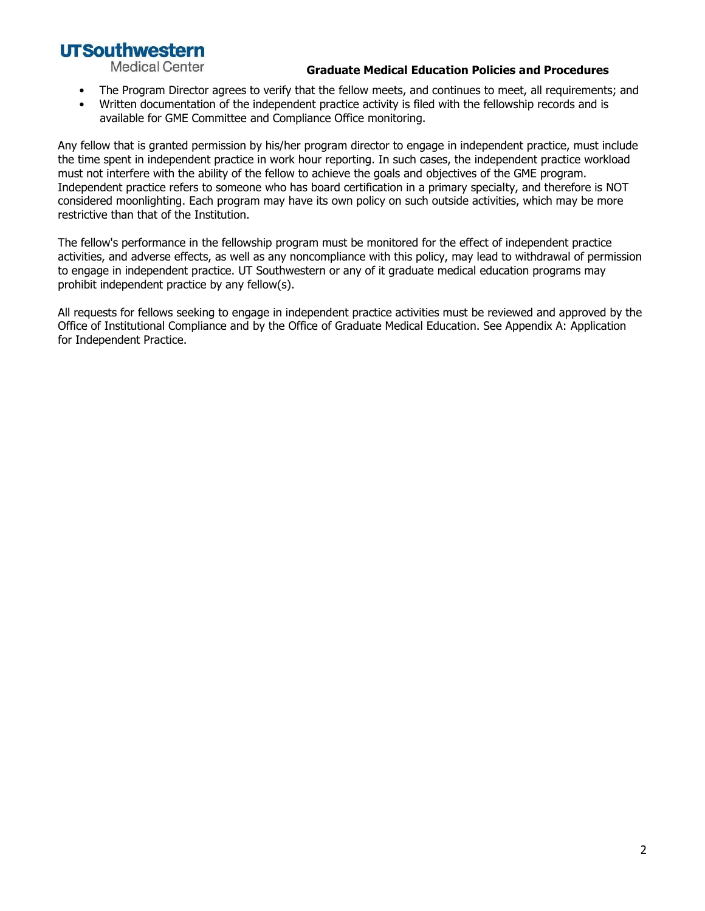## **UTSouthwestern**

**Medical Center** 

#### **Graduate Medical Education Policies and Procedures**

- The Program Director agrees to verify that the fellow meets, and continues to meet, all requirements; and
- Written documentation of the independent practice activity is filed with the fellowship records and is available for GME Committee and Compliance Office monitoring.

Any fellow that is granted permission by his/her program director to engage in independent practice, must include the time spent in independent practice in work hour reporting. In such cases, the independent practice workload must not interfere with the ability of the fellow to achieve the goals and objectives of the GME program. Independent practice refers to someone who has board certification in a primary specialty, and therefore is NOT considered moonlighting. Each program may have its own policy on such outside activities, which may be more restrictive than that of the Institution.

The fellow's performance in the fellowship program must be monitored for the effect of independent practice activities, and adverse effects, as well as any noncompliance with this policy, may lead to withdrawal of permission to engage in independent practice. UT Southwestern or any of it graduate medical education programs may prohibit independent practice by any fellow(s).

All requests for fellows seeking to engage in independent practice activities must be reviewed and approved by the Office of Institutional Compliance and by the Office of Graduate Medical Education. See Appendix A: Application for Independent Practice.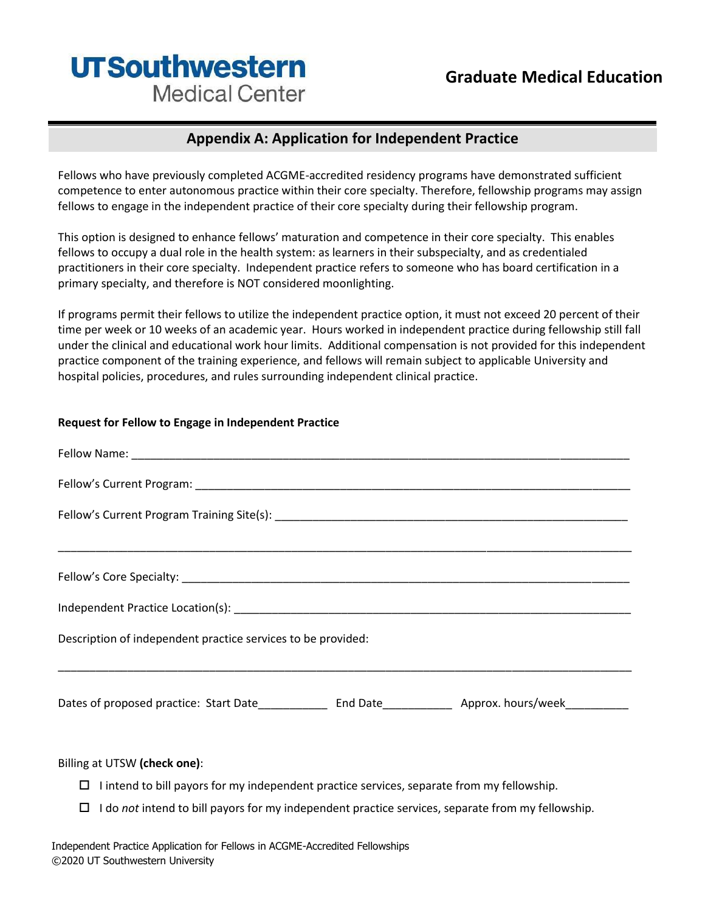# **UTSouthwestern Medical Center**

### **Appendix A: Application for Independent Practice**

Fellows who have previously completed ACGME-accredited residency programs have demonstrated sufficient competence to enter autonomous practice within their core specialty. Therefore, fellowship programs may assign fellows to engage in the independent practice of their core specialty during their fellowship program.

This option is designed to enhance fellows' maturation and competence in their core specialty. This enables fellows to occupy a dual role in the health system: as learners in their subspecialty, and as credentialed practitioners in their core specialty. Independent practice refers to someone who has board certification in a primary specialty, and therefore is NOT considered moonlighting.

If programs permit their fellows to utilize the independent practice option, it must not exceed 20 percent of their time per week or 10 weeks of an academic year. Hours worked in independent practice during fellowship still fall under the clinical and educational work hour limits. Additional compensation is not provided for this independent practice component of the training experience, and fellows will remain subject to applicable University and hospital policies, procedures, and rules surrounding independent clinical practice.

#### **Request for Fellow to Engage in Independent Practice**

| Description of independent practice services to be provided: |  |  |  |
|--------------------------------------------------------------|--|--|--|
|                                                              |  |  |  |
|                                                              |  |  |  |
|                                                              |  |  |  |
| Billing at UTSW (check one):                                 |  |  |  |

- $\Box$  I intend to bill payors for my independent practice services, separate from my fellowship.
- I do *not* intend to bill payors for my independent practice services, separate from my fellowship.

Independent Practice Application for Fellows in ACGME-Accredited Fellowships ©2020 UT Southwestern University